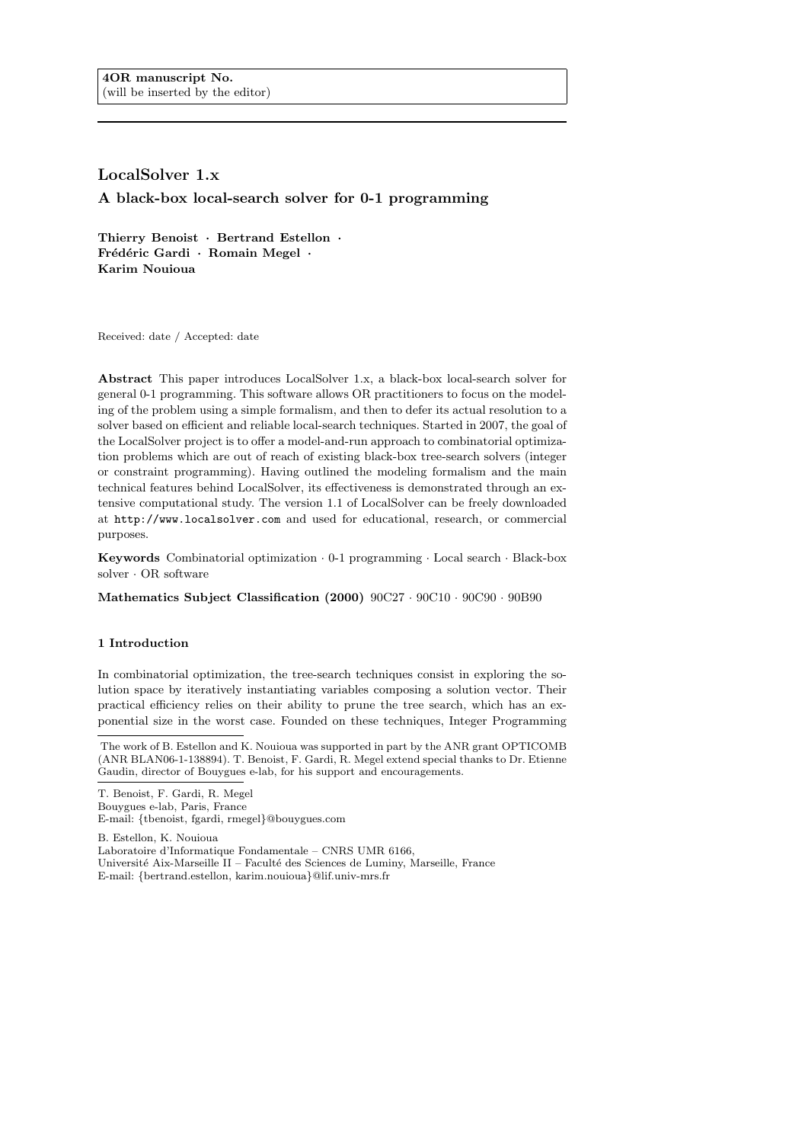# **LocalSolver 1.x A black-box local-search solver for 0-1 programming**

**Thierry Benoist** *·* **Bertrand Estellon** *·* **Fr´ed´eric Gardi** *·* **Romain Megel** *·* **Karim Nouioua**

Received: date / Accepted: date

**Abstract** This paper introduces LocalSolver 1.x, a black-box local-search solver for general 0-1 programming. This software allows OR practitioners to focus on the modeling of the problem using a simple formalism, and then to defer its actual resolution to a solver based on efficient and reliable local-search techniques. Started in 2007, the goal of the LocalSolver project is to offer a model-and-run approach to combinatorial optimization problems which are out of reach of existing black-box tree-search solvers (integer or constraint programming). Having outlined the modeling formalism and the main technical features behind LocalSolver, its effectiveness is demonstrated through an extensive computational study. The version 1.1 of LocalSolver can be freely downloaded at http://www.localsolver.com and used for educational, research, or commercial purposes.

**Keywords** Combinatorial optimization *·* 0-1 programming *·* Local search *·* Black-box solver *·* OR software

**Mathematics Subject Classification (2000)** 90C27 *·* 90C10 *·* 90C90 *·* 90B90

## **1 Introduction**

In combinatorial optimization, the tree-search techniques consist in exploring the solution space by iteratively instantiating variables composing a solution vector. Their practical efficiency relies on their ability to prune the tree search, which has an exponential size in the worst case. Founded on these techniques, Integer Programming

T. Benoist, F. Gardi, R. Megel Bouygues e-lab, Paris, France E-mail: *{*tbenoist, fgardi, rmegel*}*@bouygues.com

B. Estellon, K. Nouioua Laboratoire d'Informatique Fondamentale – CNRS UMR 6166, Université Aix-Marseille II – Faculté des Sciences de Luminy, Marseille, France E-mail: *{*bertrand.estellon, karim.nouioua*}*@lif.univ-mrs.fr

The work of B. Estellon and K. Nouioua was supported in part by the ANR grant OPTICOMB (ANR BLAN06-1-138894). T. Benoist, F. Gardi, R. Megel extend special thanks to Dr. Etienne Gaudin, director of Bouygues e-lab, for his support and encouragements.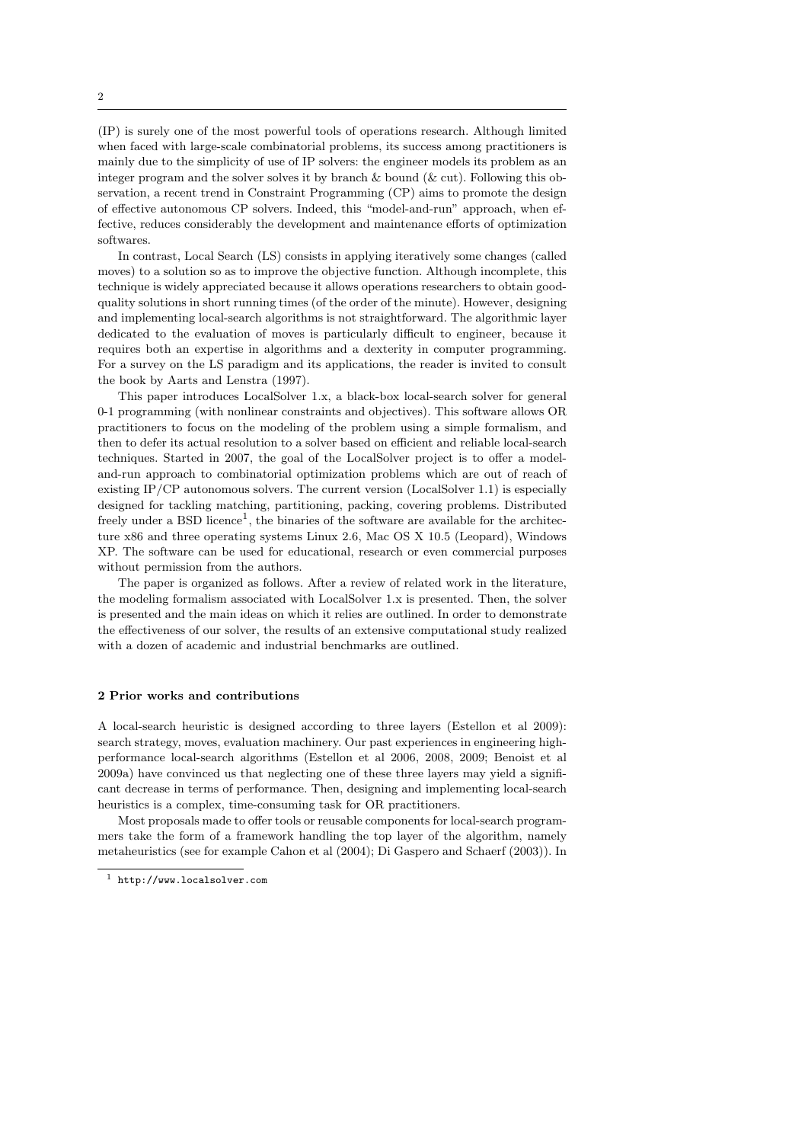(IP) is surely one of the most powerful tools of operations research. Although limited when faced with large-scale combinatorial problems, its success among practitioners is mainly due to the simplicity of use of IP solvers: the engineer models its problem as an integer program and the solver solves it by branch  $\&$  bound ( $\&$  cut). Following this observation, a recent trend in Constraint Programming (CP) aims to promote the design of effective autonomous CP solvers. Indeed, this "model-and-run" approach, when effective, reduces considerably the development and maintenance efforts of optimization softwares.

In contrast, Local Search (LS) consists in applying iteratively some changes (called moves) to a solution so as to improve the objective function. Although incomplete, this technique is widely appreciated because it allows operations researchers to obtain goodquality solutions in short running times (of the order of the minute). However, designing and implementing local-search algorithms is not straightforward. The algorithmic layer dedicated to the evaluation of moves is particularly difficult to engineer, because it requires both an expertise in algorithms and a dexterity in computer programming. For a survey on the LS paradigm and its applications, the reader is invited to consult the book by Aarts and Lenstra (1997).

This paper introduces LocalSolver 1.x, a black-box local-search solver for general 0-1 programming (with nonlinear constraints and objectives). This software allows OR practitioners to focus on the modeling of the problem using a simple formalism, and then to defer its actual resolution to a solver based on efficient and reliable local-search techniques. Started in 2007, the goal of the LocalSolver project is to offer a modeland-run approach to combinatorial optimization problems which are out of reach of existing IP/CP autonomous solvers. The current version (LocalSolver 1.1) is especially designed for tackling matching, partitioning, packing, covering problems. Distributed freely under a BSD licence<sup>1</sup>, the binaries of the software are available for the architecture x86 and three operating systems Linux 2.6, Mac OS X 10.5 (Leopard), Windows XP. The software can be used for educational, research or even commercial purposes without permission from the authors.

The paper is organized as follows. After a review of related work in the literature, the modeling formalism associated with LocalSolver 1.x is presented. Then, the solver is presented and the main ideas on which it relies are outlined. In order to demonstrate the effectiveness of our solver, the results of an extensive computational study realized with a dozen of academic and industrial benchmarks are outlined.

#### **2 Prior works and contributions**

A local-search heuristic is designed according to three layers (Estellon et al 2009): search strategy, moves, evaluation machinery. Our past experiences in engineering highperformance local-search algorithms (Estellon et al 2006, 2008, 2009; Benoist et al 2009a) have convinced us that neglecting one of these three layers may yield a significant decrease in terms of performance. Then, designing and implementing local-search heuristics is a complex, time-consuming task for OR practitioners.

Most proposals made to offer tools or reusable components for local-search programmers take the form of a framework handling the top layer of the algorithm, namely metaheuristics (see for example Cahon et al (2004); Di Gaspero and Schaerf (2003)). In

2

<sup>1</sup> http://www.localsolver.com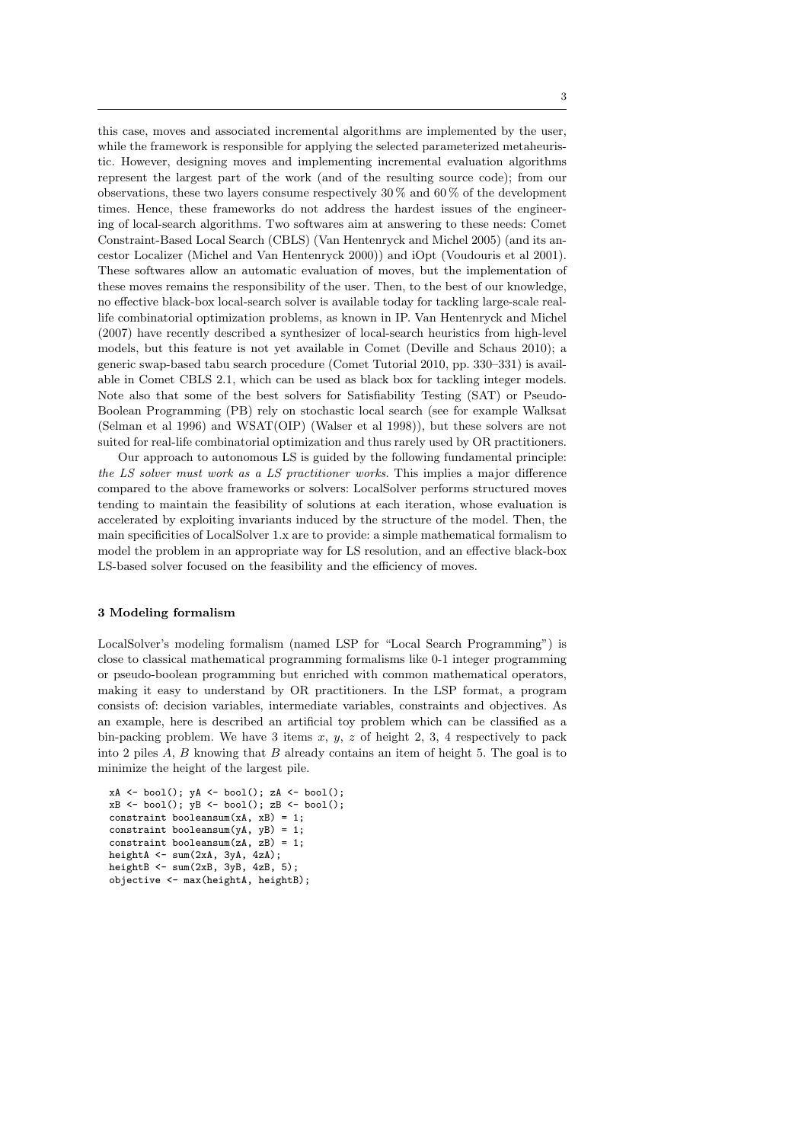this case, moves and associated incremental algorithms are implemented by the user, while the framework is responsible for applying the selected parameterized metaheuristic. However, designing moves and implementing incremental evaluation algorithms represent the largest part of the work (and of the resulting source code); from our observations, these two layers consume respectively 30 % and 60 % of the development times. Hence, these frameworks do not address the hardest issues of the engineering of local-search algorithms. Two softwares aim at answering to these needs: Comet Constraint-Based Local Search (CBLS) (Van Hentenryck and Michel 2005) (and its ancestor Localizer (Michel and Van Hentenryck 2000)) and iOpt (Voudouris et al 2001). These softwares allow an automatic evaluation of moves, but the implementation of these moves remains the responsibility of the user. Then, to the best of our knowledge, no effective black-box local-search solver is available today for tackling large-scale reallife combinatorial optimization problems, as known in IP. Van Hentenryck and Michel (2007) have recently described a synthesizer of local-search heuristics from high-level models, but this feature is not yet available in Comet (Deville and Schaus 2010); a generic swap-based tabu search procedure (Comet Tutorial 2010, pp. 330–331) is available in Comet CBLS 2.1, which can be used as black box for tackling integer models. Note also that some of the best solvers for Satisfiability Testing (SAT) or Pseudo-Boolean Programming (PB) rely on stochastic local search (see for example Walksat (Selman et al 1996) and WSAT(OIP) (Walser et al 1998)), but these solvers are not suited for real-life combinatorial optimization and thus rarely used by OR practitioners.

Our approach to autonomous LS is guided by the following fundamental principle: *the LS solver must work as a LS practitioner works*. This implies a major difference compared to the above frameworks or solvers: LocalSolver performs structured moves tending to maintain the feasibility of solutions at each iteration, whose evaluation is accelerated by exploiting invariants induced by the structure of the model. Then, the main specificities of LocalSolver 1.x are to provide: a simple mathematical formalism to model the problem in an appropriate way for LS resolution, and an effective black-box LS-based solver focused on the feasibility and the efficiency of moves.

#### **3 Modeling formalism**

LocalSolver's modeling formalism (named LSP for "Local Search Programming") is close to classical mathematical programming formalisms like 0-1 integer programming or pseudo-boolean programming but enriched with common mathematical operators, making it easy to understand by OR practitioners. In the LSP format, a program consists of: decision variables, intermediate variables, constraints and objectives. As an example, here is described an artificial toy problem which can be classified as a bin-packing problem. We have 3 items *x*, *y*, *z* of height 2, 3, 4 respectively to pack into 2 piles *A*, *B* knowing that *B* already contains an item of height 5. The goal is to minimize the height of the largest pile.

```
xA \leftarrow bool(); yA \leftarrow bool(); zA \leftarrow bool();xB \leftarrow bool(); yB \leftarrow bool(); zB \leftarrow bool();constraint booleansum(xA, xB) = 1;
constraint booleansum(yA, yB) = 1;
constraint booleansum(zA, zB) = 1;
heightA <- sum(2xA, 3yA, 4zA);
heightB \leftarrow sum(2xB, 3yB, 4zB, 5);objective <- max(heightA, heightB);
```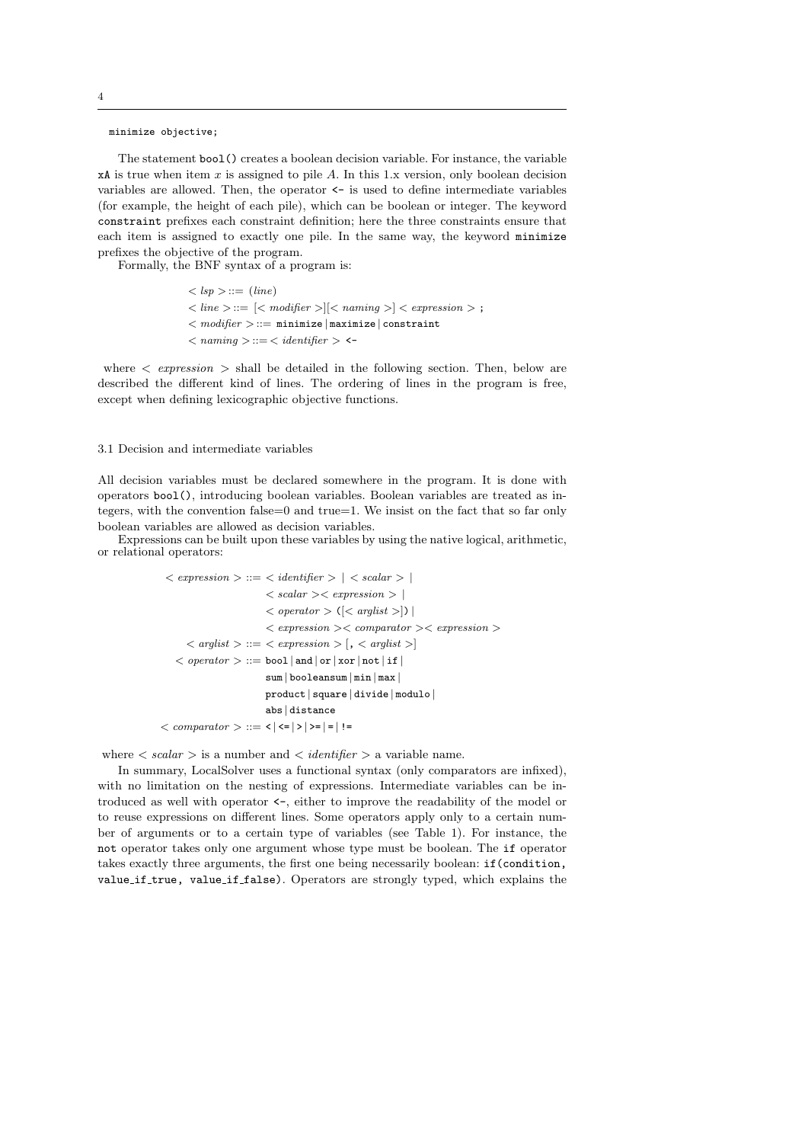minimize objective;

The statement bool() creates a boolean decision variable. For instance, the variable xA is true when item *x* is assigned to pile *A*. In this 1.x version, only boolean decision variables are allowed. Then, the operator <- is used to define intermediate variables (for example, the height of each pile), which can be boolean or integer. The keyword constraint prefixes each constraint definition; here the three constraints ensure that each item is assigned to exactly one pile. In the same way, the keyword minimize prefixes the objective of the program.

Formally, the BNF syntax of a program is:

 $\langle$  *lsp*  $\rangle$  ::= (*line*)  $\langle$  *line*  $\rangle ::= \langle \langle \rangle$  *< modifier*  $\rangle$  $|\langle \rangle$  *naming*  $\rangle$  $|\langle \rangle$  *expression*  $\rangle$  ; *< modifier >* ::= minimize *|* maximize *|* constraint *< naming >* ::= *< identifier >* <-

where  $\langle$  *expression*  $\rangle$  shall be detailed in the following section. Then, below are described the different kind of lines. The ordering of lines in the program is free, except when defining lexicographic objective functions.

#### 3.1 Decision and intermediate variables

All decision variables must be declared somewhere in the program. It is done with operators bool(), introducing boolean variables. Boolean variables are treated as integers, with the convention false  $=0$  and true $=1$ . We insist on the fact that so far only boolean variables are allowed as decision variables.

Expressions can be built upon these variables by using the native logical, arithmetic, or relational operators:

```
\n\n
$$
\langle
$$
 expression > ::=  $\langle$  identifier > |  $\langle$  scalar > |  
\n $\langle$  scalar >  $\langle$  expression > |  
\n $\langle$  operator > ([ $\langle$  arglist >]) |  
\n $\langle$  expression >  $\langle$  comparison >  $\langle$  expression >  
\n $\langle$  arglist > ::=  $\langle$  expression > [,  $\langle$  arglist >]  
\n $\langle$  operator > ::=  $\text{bool} |$  and | or | xor | not | if |  
\nsum | booleansum | min | max |  
\nproduct | square | divide | modulo |  
\nabs | distance\n\n $\langle$  comparator > ::=  $\langle$  |=  $\rangle$  |= = | !=\n\n
```

where  $\langle$  *scalar*  $>$  is a number and  $\langle$  *identifier*  $>$  a variable name.

In summary, LocalSolver uses a functional syntax (only comparators are infixed), with no limitation on the nesting of expressions. Intermediate variables can be introduced as well with operator <-, either to improve the readability of the model or to reuse expressions on different lines. Some operators apply only to a certain number of arguments or to a certain type of variables (see Table 1). For instance, the not operator takes only one argument whose type must be boolean. The if operator takes exactly three arguments, the first one being necessarily boolean: if(condition, value if true, value if false). Operators are strongly typed, which explains the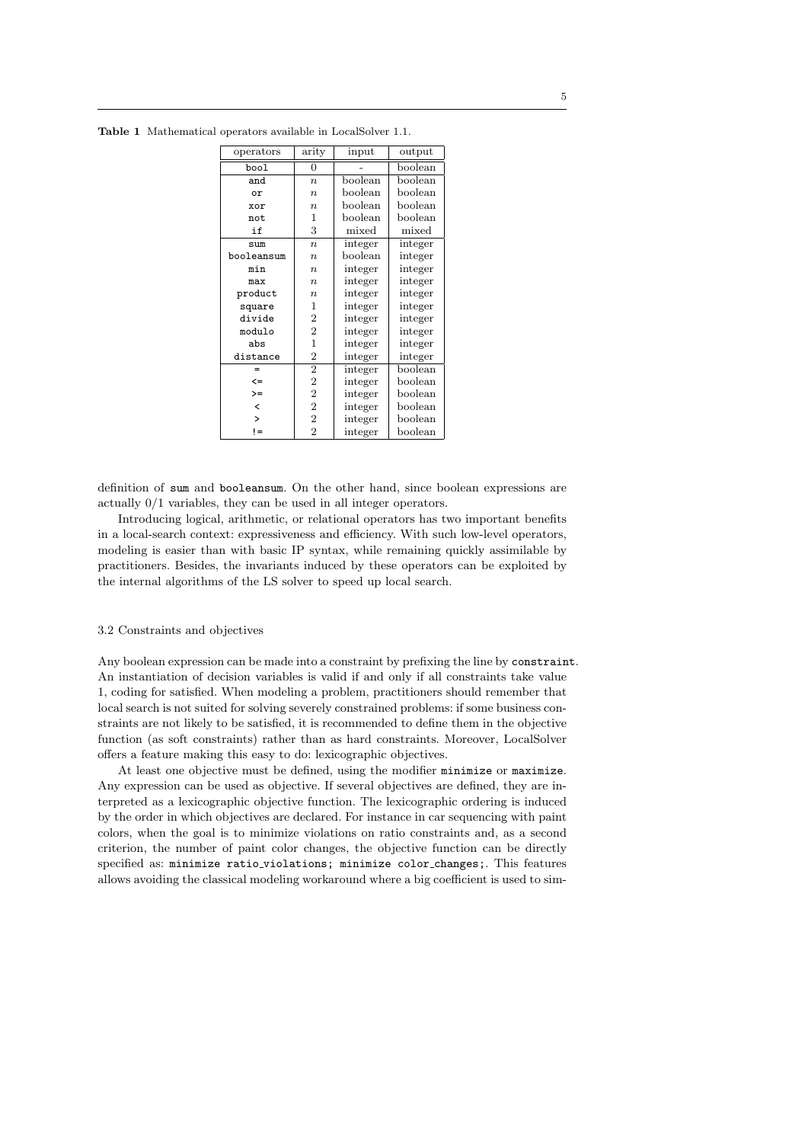| operators                | arity            | input                    | output                   |
|--------------------------|------------------|--------------------------|--------------------------|
| bool                     | $\Omega$         |                          | boolean                  |
| and                      | $\boldsymbol{n}$ | boolean                  | boolean                  |
| or                       | $\boldsymbol{n}$ | boolean                  | $\operatorname{boolean}$ |
| xor                      | $\boldsymbol{n}$ | boolean                  | boolean                  |
| not                      | 1                | $\operatorname{boolean}$ | $\operatorname{boolean}$ |
| if                       | 3                | mixed                    | $_{\rm mixed}$           |
| sum                      | $\boldsymbol{n}$ | integer                  | integer                  |
| booleansum               | $\boldsymbol{n}$ | $\operatorname{boolean}$ | integer                  |
| min                      | $\boldsymbol{n}$ | integer                  | integer                  |
| max                      | $\boldsymbol{n}$ | integer                  | integer                  |
| product                  | $\boldsymbol{n}$ | integer                  | integer                  |
| square                   | 1                | integer                  | integer                  |
| divide                   | 2                | integer                  | integer                  |
| modulo                   | $\overline{2}$   | integer                  | integer                  |
| abs                      | $\mathbf{1}$     | integer                  | integer                  |
| distance                 | $\overline{2}$   | integer                  | integer                  |
| =                        | $\overline{2}$   | integer                  | $\operatorname{boolean}$ |
| $\leq$                   | $\overline{2}$   | integer                  | $_{\text{boolean}}$      |
| $>=$                     | 2                | integer                  | $\operatorname{boolean}$ |
| $\overline{\phantom{a}}$ | $\overline{2}$   | integer                  | $_{\text{boolean}}$      |
| $\mathbf{r}$             | $\overline{2}$   | integer                  | $\operatorname{boolean}$ |
| ! =                      | $\overline{2}$   | integer                  | boolean                  |

**Table 1** Mathematical operators available in LocalSolver 1.1.

definition of sum and booleansum. On the other hand, since boolean expressions are actually 0/1 variables, they can be used in all integer operators.

Introducing logical, arithmetic, or relational operators has two important benefits in a local-search context: expressiveness and efficiency. With such low-level operators, modeling is easier than with basic IP syntax, while remaining quickly assimilable by practitioners. Besides, the invariants induced by these operators can be exploited by the internal algorithms of the LS solver to speed up local search.

#### 3.2 Constraints and objectives

Any boolean expression can be made into a constraint by prefixing the line by constraint. An instantiation of decision variables is valid if and only if all constraints take value 1, coding for satisfied. When modeling a problem, practitioners should remember that local search is not suited for solving severely constrained problems: if some business constraints are not likely to be satisfied, it is recommended to define them in the objective function (as soft constraints) rather than as hard constraints. Moreover, LocalSolver offers a feature making this easy to do: lexicographic objectives.

At least one objective must be defined, using the modifier minimize or maximize. Any expression can be used as objective. If several objectives are defined, they are interpreted as a lexicographic objective function. The lexicographic ordering is induced by the order in which objectives are declared. For instance in car sequencing with paint colors, when the goal is to minimize violations on ratio constraints and, as a second criterion, the number of paint color changes, the objective function can be directly specified as: minimize ratio violations; minimize color changes;. This features allows avoiding the classical modeling workaround where a big coefficient is used to sim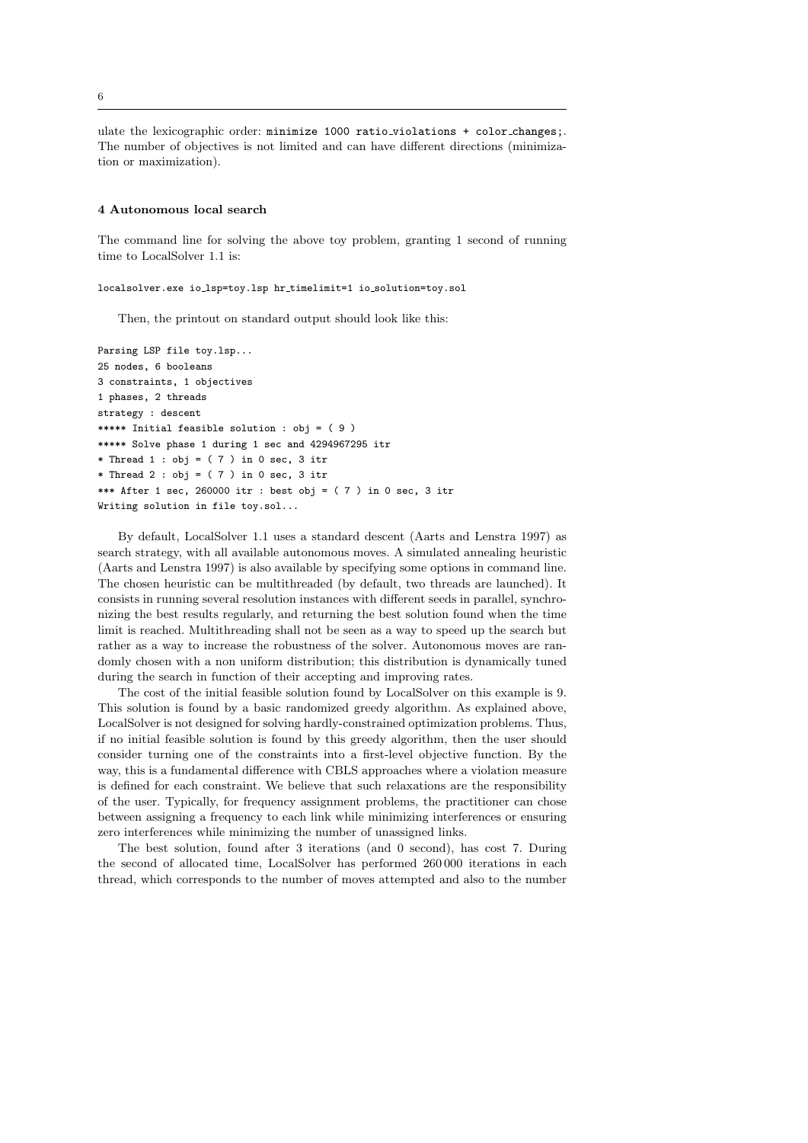ulate the lexicographic order: minimize 1000 ratio violations + color\_changes;. The number of objectives is not limited and can have different directions (minimization or maximization).

#### **4 Autonomous local search**

The command line for solving the above toy problem, granting 1 second of running time to LocalSolver 1.1 is:

localsolver.exe io lsp=toy.lsp hr timelimit=1 io solution=toy.sol

Then, the printout on standard output should look like this:

Parsing LSP file toy.lsp... 25 nodes, 6 booleans 3 constraints, 1 objectives 1 phases, 2 threads strategy : descent \*\*\*\*\* Initial feasible solution : obj = ( 9 ) \*\*\*\*\* Solve phase 1 during 1 sec and 4294967295 itr \* Thread  $1 : obj = ( 7 ) in 0 sec, 3 itr$ \* Thread  $2 : obj = ( 7 ) in 0 sec, 3 itr$ \*\*\* After 1 sec, 260000 itr : best obj =  $( 7 )$  in 0 sec, 3 itr Writing solution in file toy.sol...

By default, LocalSolver 1.1 uses a standard descent (Aarts and Lenstra 1997) as search strategy, with all available autonomous moves. A simulated annealing heuristic (Aarts and Lenstra 1997) is also available by specifying some options in command line. The chosen heuristic can be multithreaded (by default, two threads are launched). It consists in running several resolution instances with different seeds in parallel, synchronizing the best results regularly, and returning the best solution found when the time limit is reached. Multithreading shall not be seen as a way to speed up the search but rather as a way to increase the robustness of the solver. Autonomous moves are randomly chosen with a non uniform distribution; this distribution is dynamically tuned during the search in function of their accepting and improving rates.

The cost of the initial feasible solution found by LocalSolver on this example is 9. This solution is found by a basic randomized greedy algorithm. As explained above, LocalSolver is not designed for solving hardly-constrained optimization problems. Thus, if no initial feasible solution is found by this greedy algorithm, then the user should consider turning one of the constraints into a first-level objective function. By the way, this is a fundamental difference with CBLS approaches where a violation measure is defined for each constraint. We believe that such relaxations are the responsibility of the user. Typically, for frequency assignment problems, the practitioner can chose between assigning a frequency to each link while minimizing interferences or ensuring zero interferences while minimizing the number of unassigned links.

The best solution, found after 3 iterations (and 0 second), has cost 7. During the second of allocated time, LocalSolver has performed 260 000 iterations in each thread, which corresponds to the number of moves attempted and also to the number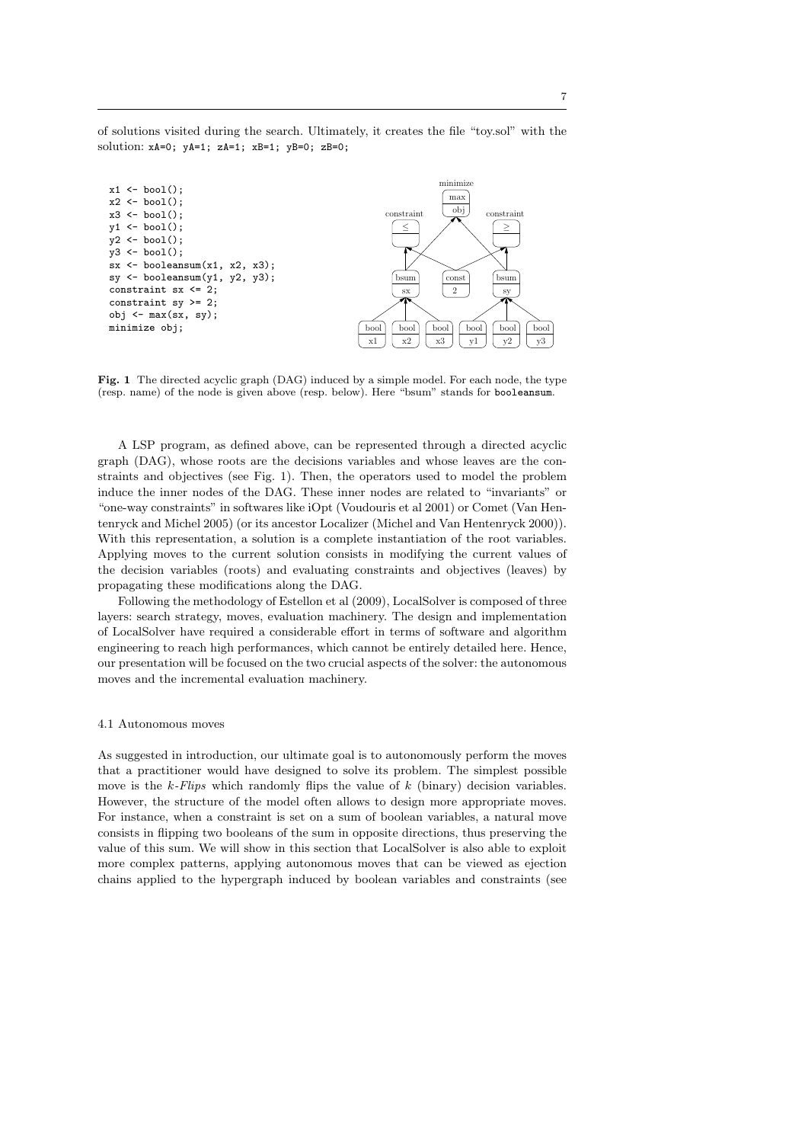of solutions visited during the search. Ultimately, it creates the file "toy.sol" with the solution: xA=0; yA=1; zA=1; xB=1; yB=0; zB=0;



**Fig. 1** The directed acyclic graph (DAG) induced by a simple model. For each node, the type (resp. name) of the node is given above (resp. below). Here "bsum" stands for booleansum.

A LSP program, as defined above, can be represented through a directed acyclic graph (DAG), whose roots are the decisions variables and whose leaves are the constraints and objectives (see Fig. 1). Then, the operators used to model the problem induce the inner nodes of the DAG. These inner nodes are related to "invariants" or "one-way constraints" in softwares like iOpt (Voudouris et al 2001) or Comet (Van Hentenryck and Michel 2005) (or its ancestor Localizer (Michel and Van Hentenryck 2000)). With this representation, a solution is a complete instantiation of the root variables. Applying moves to the current solution consists in modifying the current values of the decision variables (roots) and evaluating constraints and objectives (leaves) by propagating these modifications along the DAG.

Following the methodology of Estellon et al (2009), LocalSolver is composed of three layers: search strategy, moves, evaluation machinery. The design and implementation of LocalSolver have required a considerable effort in terms of software and algorithm engineering to reach high performances, which cannot be entirely detailed here. Hence, our presentation will be focused on the two crucial aspects of the solver: the autonomous moves and the incremental evaluation machinery.

#### 4.1 Autonomous moves

As suggested in introduction, our ultimate goal is to autonomously perform the moves that a practitioner would have designed to solve its problem. The simplest possible move is the *k-Flips* which randomly flips the value of *k* (binary) decision variables. However, the structure of the model often allows to design more appropriate moves. For instance, when a constraint is set on a sum of boolean variables, a natural move consists in flipping two booleans of the sum in opposite directions, thus preserving the value of this sum. We will show in this section that LocalSolver is also able to exploit more complex patterns, applying autonomous moves that can be viewed as ejection chains applied to the hypergraph induced by boolean variables and constraints (see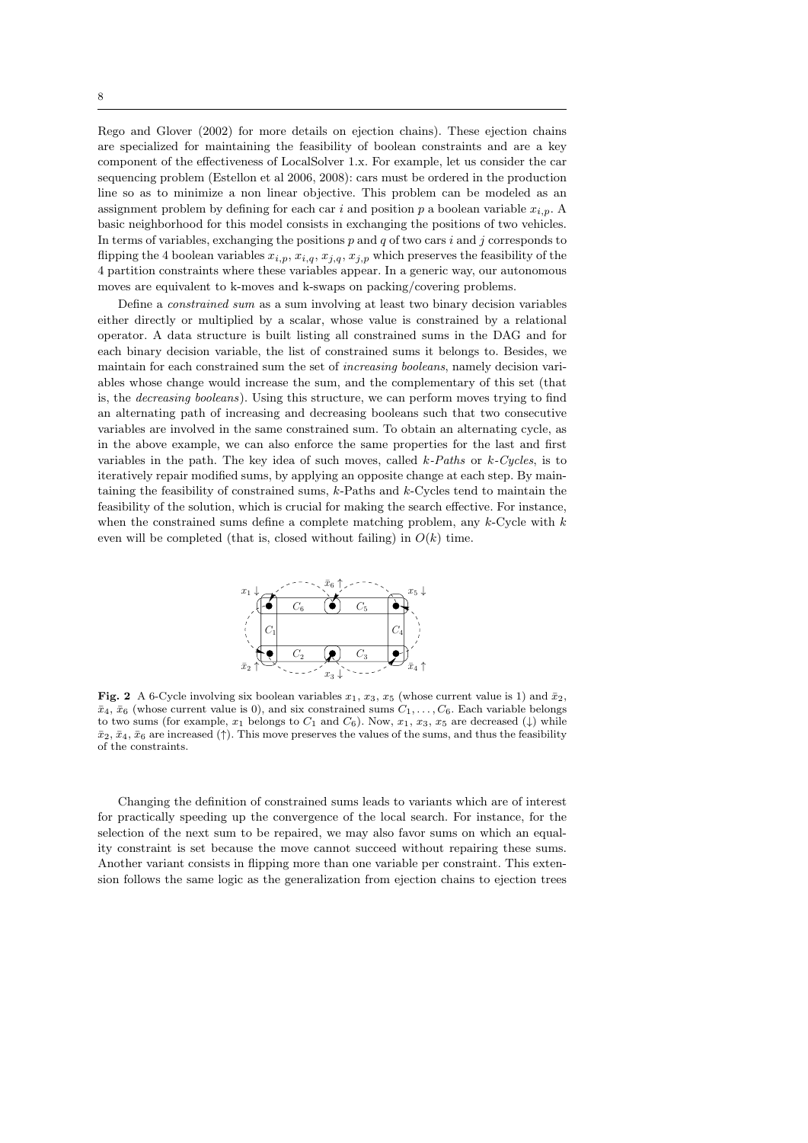Rego and Glover (2002) for more details on ejection chains). These ejection chains are specialized for maintaining the feasibility of boolean constraints and are a key component of the effectiveness of LocalSolver 1.x. For example, let us consider the car sequencing problem (Estellon et al 2006, 2008): cars must be ordered in the production line so as to minimize a non linear objective. This problem can be modeled as an assignment problem by defining for each car *i* and position *p* a boolean variable  $x_{i,p}$ . basic neighborhood for this model consists in exchanging the positions of two vehicles. In terms of variables, exchanging the positions *p* and *q* of two cars *i* and *j* corresponds to flipping the 4 boolean variables  $x_{i,p}$ ,  $x_{i,q}$ ,  $x_{j,q}$ ,  $x_{j,p}$  which preserves the feasibility of the 4 partition constraints where these variables appear. In a generic way, our autonomous moves are equivalent to k-moves and k-swaps on packing/covering problems.

Define a *constrained sum* as a sum involving at least two binary decision variables either directly or multiplied by a scalar, whose value is constrained by a relational operator. A data structure is built listing all constrained sums in the DAG and for each binary decision variable, the list of constrained sums it belongs to. Besides, we maintain for each constrained sum the set of *increasing booleans*, namely decision variables whose change would increase the sum, and the complementary of this set (that is, the *decreasing booleans*). Using this structure, we can perform moves trying to find an alternating path of increasing and decreasing booleans such that two consecutive variables are involved in the same constrained sum. To obtain an alternating cycle, as in the above example, we can also enforce the same properties for the last and first variables in the path. The key idea of such moves, called *k-Paths* or *k-Cycles*, is to iteratively repair modified sums, by applying an opposite change at each step. By maintaining the feasibility of constrained sums, *k*-Paths and *k*-Cycles tend to maintain the feasibility of the solution, which is crucial for making the search effective. For instance, when the constrained sums define a complete matching problem, any *k*-Cycle with *k* even will be completed (that is, closed without failing) in  $O(k)$  time.



**Fig. 2** A 6-Cycle involving six boolean variables  $x_1, x_3, x_5$  (whose current value is 1) and  $\bar{x}_2$ ,  $\bar{x}_4$ ,  $\bar{x}_6$  (whose current value is 0), and six constrained sums  $C_1, \ldots, C_6$ . Each variable belongs to two sums (for example,  $x_1$  belongs to  $C_1$  and  $C_6$ ). Now,  $x_1, x_3, x_5$  are decreased ( $\downarrow$ ) while  $\bar{x}_2, \bar{x}_4, \bar{x}_6$  are increased (†). This move preserves the values of the sums, and thus the feasibility of the constraints.

Changing the definition of constrained sums leads to variants which are of interest for practically speeding up the convergence of the local search. For instance, for the selection of the next sum to be repaired, we may also favor sums on which an equality constraint is set because the move cannot succeed without repairing these sums. Another variant consists in flipping more than one variable per constraint. This extension follows the same logic as the generalization from ejection chains to ejection trees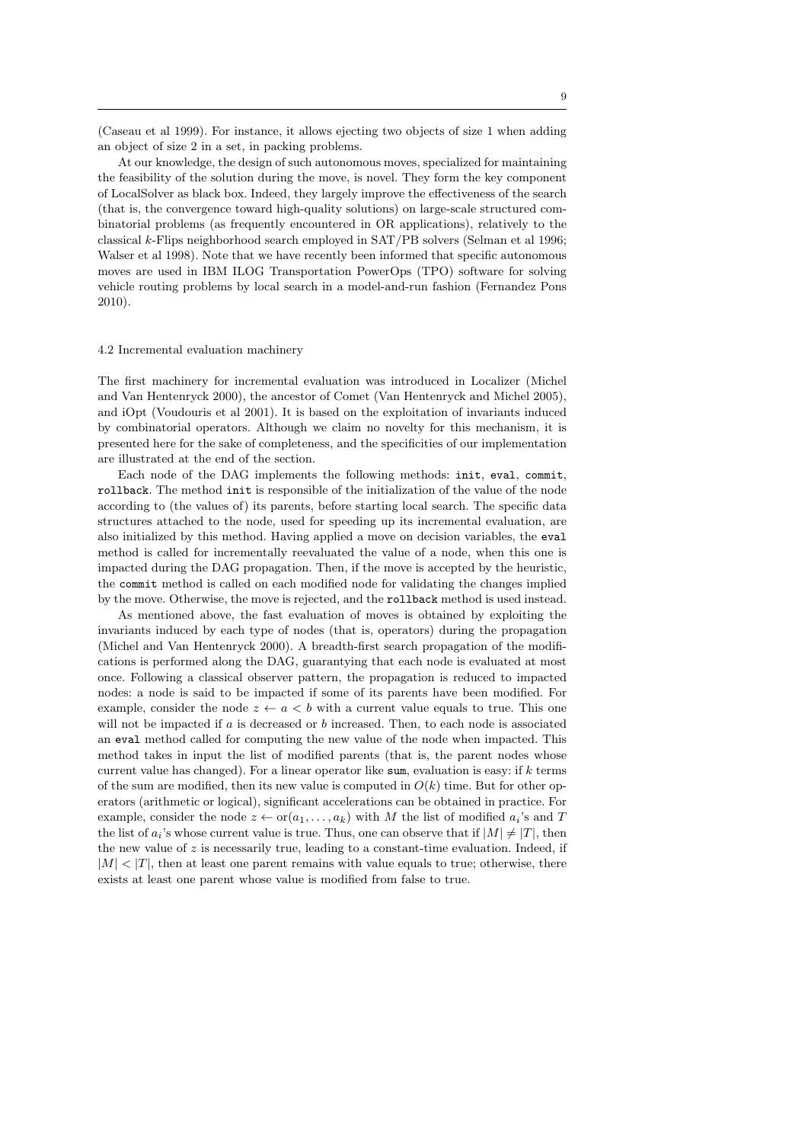(Caseau et al 1999). For instance, it allows ejecting two objects of size 1 when adding an object of size 2 in a set, in packing problems.

At our knowledge, the design of such autonomous moves, specialized for maintaining the feasibility of the solution during the move, is novel. They form the key component of LocalSolver as black box. Indeed, they largely improve the effectiveness of the search (that is, the convergence toward high-quality solutions) on large-scale structured combinatorial problems (as frequently encountered in OR applications), relatively to the classical *k*-Flips neighborhood search employed in SAT/PB solvers (Selman et al 1996; Walser et al 1998). Note that we have recently been informed that specific autonomous moves are used in IBM ILOG Transportation PowerOps (TPO) software for solving vehicle routing problems by local search in a model-and-run fashion (Fernandez Pons 2010).

#### 4.2 Incremental evaluation machinery

The first machinery for incremental evaluation was introduced in Localizer (Michel and Van Hentenryck 2000), the ancestor of Comet (Van Hentenryck and Michel 2005), and iOpt (Voudouris et al 2001). It is based on the exploitation of invariants induced by combinatorial operators. Although we claim no novelty for this mechanism, it is presented here for the sake of completeness, and the specificities of our implementation are illustrated at the end of the section.

Each node of the DAG implements the following methods: init, eval, commit, rollback. The method init is responsible of the initialization of the value of the node according to (the values of) its parents, before starting local search. The specific data structures attached to the node, used for speeding up its incremental evaluation, are also initialized by this method. Having applied a move on decision variables, the eval method is called for incrementally reevaluated the value of a node, when this one is impacted during the DAG propagation. Then, if the move is accepted by the heuristic, the commit method is called on each modified node for validating the changes implied by the move. Otherwise, the move is rejected, and the rollback method is used instead.

As mentioned above, the fast evaluation of moves is obtained by exploiting the invariants induced by each type of nodes (that is, operators) during the propagation (Michel and Van Hentenryck 2000). A breadth-first search propagation of the modifications is performed along the DAG, guarantying that each node is evaluated at most once. Following a classical observer pattern, the propagation is reduced to impacted nodes: a node is said to be impacted if some of its parents have been modified. For example, consider the node  $z \leftarrow a \leq b$  with a current value equals to true. This one will not be impacted if a is decreased or b increased. Then, to each node is associated an eval method called for computing the new value of the node when impacted. This method takes in input the list of modified parents (that is, the parent nodes whose current value has changed). For a linear operator like sum, evaluation is easy: if *k* terms of the sum are modified, then its new value is computed in  $O(k)$  time. But for other operators (arithmetic or logical), significant accelerations can be obtained in practice. For example, consider the node  $z \leftarrow \text{or}(a_1, \ldots, a_k)$  with *M* the list of modified  $a_i$ 's and *T* the list of  $a_i$ 's whose current value is true. Thus, one can observe that if  $|M| \neq |T|$ , then the new value of  $z$  is necessarily true, leading to a constant-time evaluation. Indeed, if  $|M|$  <  $|T|$ , then at least one parent remains with value equals to true; otherwise, there exists at least one parent whose value is modified from false to true.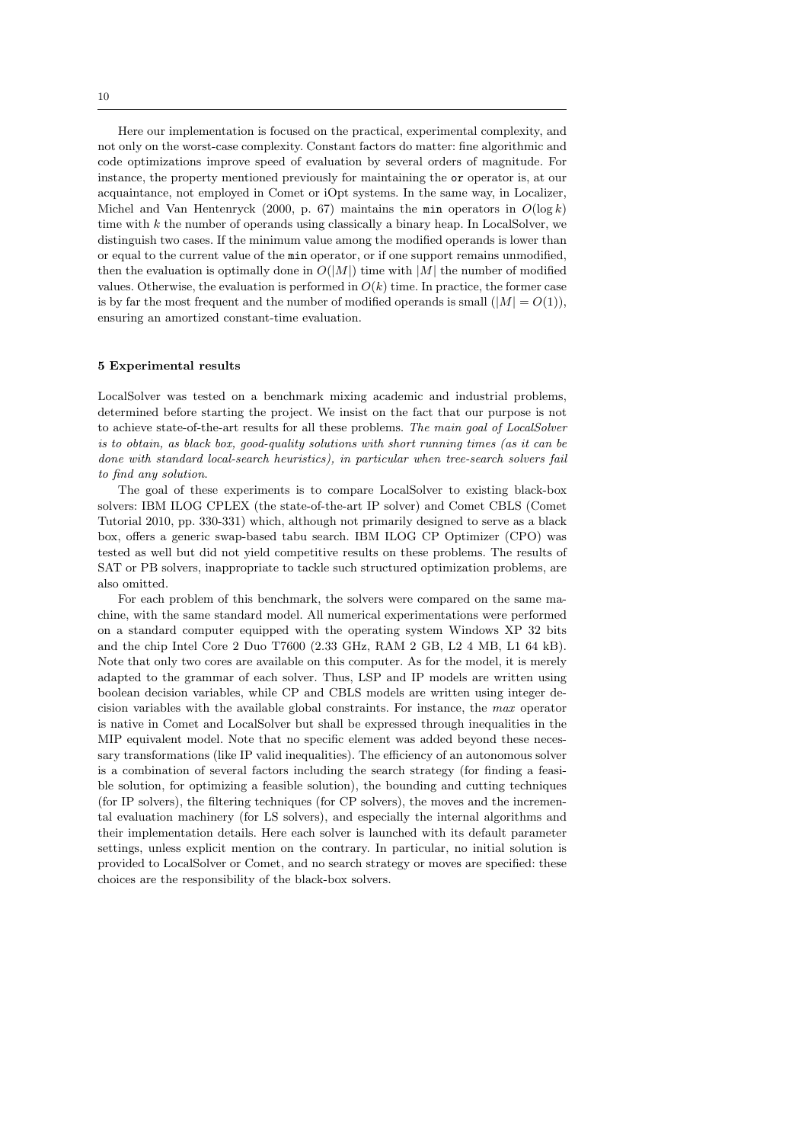Here our implementation is focused on the practical, experimental complexity, and not only on the worst-case complexity. Constant factors do matter: fine algorithmic and code optimizations improve speed of evaluation by several orders of magnitude. For instance, the property mentioned previously for maintaining the or operator is, at our acquaintance, not employed in Comet or iOpt systems. In the same way, in Localizer, Michel and Van Hentenryck (2000, p. 67) maintains the min operators in  $O(\log k)$ time with *k* the number of operands using classically a binary heap. In LocalSolver, we distinguish two cases. If the minimum value among the modified operands is lower than or equal to the current value of the min operator, or if one support remains unmodified, then the evaluation is optimally done in  $O(|M|)$  time with  $|M|$  the number of modified values. Otherwise, the evaluation is performed in  $O(k)$  time. In practice, the former case is by far the most frequent and the number of modified operands is small  $(|M| = O(1))$ , ensuring an amortized constant-time evaluation.

#### **5 Experimental results**

LocalSolver was tested on a benchmark mixing academic and industrial problems, determined before starting the project. We insist on the fact that our purpose is not to achieve state-of-the-art results for all these problems. *The main goal of LocalSolver is to obtain, as black box, good-quality solutions with short running times (as it can be done with standard local-search heuristics), in particular when tree-search solvers fail to find any solution*.

The goal of these experiments is to compare LocalSolver to existing black-box solvers: IBM ILOG CPLEX (the state-of-the-art IP solver) and Comet CBLS (Comet Tutorial 2010, pp. 330-331) which, although not primarily designed to serve as a black box, offers a generic swap-based tabu search. IBM ILOG CP Optimizer (CPO) was tested as well but did not yield competitive results on these problems. The results of SAT or PB solvers, inappropriate to tackle such structured optimization problems, are also omitted.

For each problem of this benchmark, the solvers were compared on the same machine, with the same standard model. All numerical experimentations were performed on a standard computer equipped with the operating system Windows XP 32 bits and the chip Intel Core 2 Duo T7600 (2.33 GHz, RAM 2 GB, L2 4 MB, L1 64 kB). Note that only two cores are available on this computer. As for the model, it is merely adapted to the grammar of each solver. Thus, LSP and IP models are written using boolean decision variables, while CP and CBLS models are written using integer decision variables with the available global constraints. For instance, the *max* operator is native in Comet and LocalSolver but shall be expressed through inequalities in the MIP equivalent model. Note that no specific element was added beyond these necessary transformations (like IP valid inequalities). The efficiency of an autonomous solver is a combination of several factors including the search strategy (for finding a feasible solution, for optimizing a feasible solution), the bounding and cutting techniques (for IP solvers), the filtering techniques (for CP solvers), the moves and the incremental evaluation machinery (for LS solvers), and especially the internal algorithms and their implementation details. Here each solver is launched with its default parameter settings, unless explicit mention on the contrary. In particular, no initial solution is provided to LocalSolver or Comet, and no search strategy or moves are specified: these choices are the responsibility of the black-box solvers.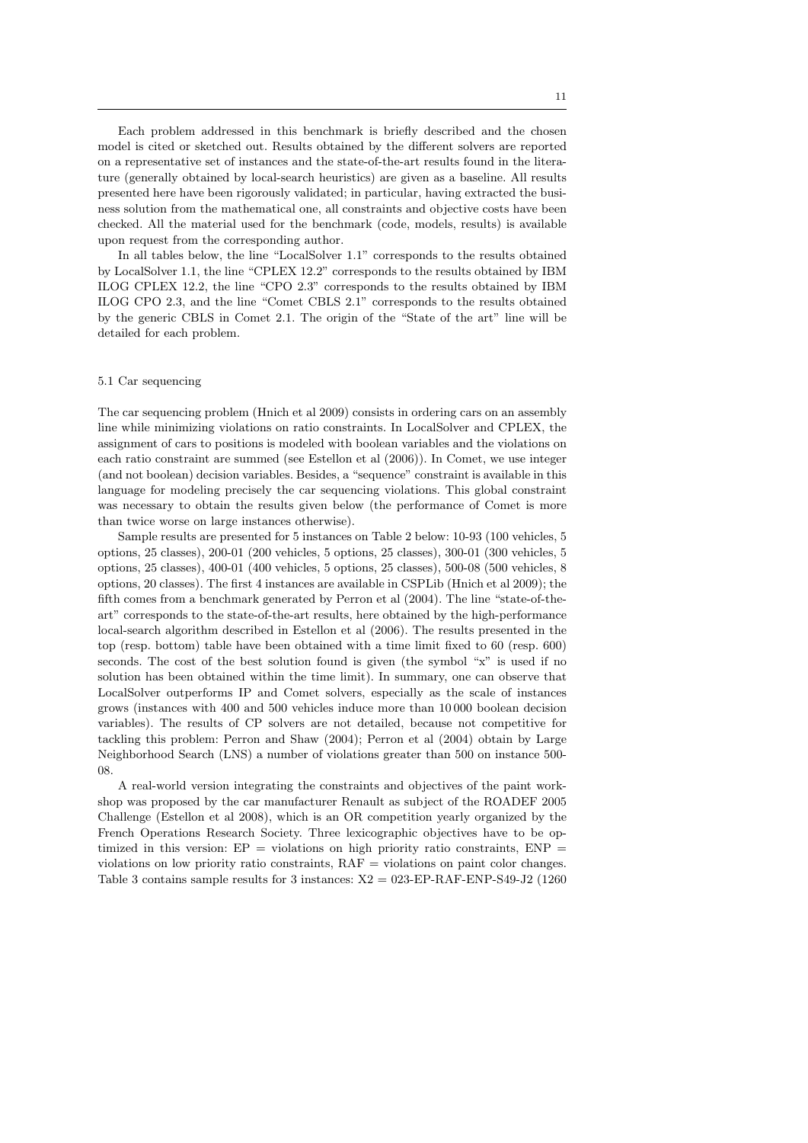Each problem addressed in this benchmark is briefly described and the chosen model is cited or sketched out. Results obtained by the different solvers are reported on a representative set of instances and the state-of-the-art results found in the literature (generally obtained by local-search heuristics) are given as a baseline. All results presented here have been rigorously validated; in particular, having extracted the business solution from the mathematical one, all constraints and objective costs have been checked. All the material used for the benchmark (code, models, results) is available upon request from the corresponding author.

In all tables below, the line "LocalSolver 1.1" corresponds to the results obtained by LocalSolver 1.1, the line "CPLEX 12.2" corresponds to the results obtained by IBM ILOG CPLEX 12.2, the line "CPO 2.3" corresponds to the results obtained by IBM ILOG CPO 2.3, and the line "Comet CBLS 2.1" corresponds to the results obtained by the generic CBLS in Comet 2.1. The origin of the "State of the art" line will be detailed for each problem.

#### 5.1 Car sequencing

The car sequencing problem (Hnich et al 2009) consists in ordering cars on an assembly line while minimizing violations on ratio constraints. In LocalSolver and CPLEX, the assignment of cars to positions is modeled with boolean variables and the violations on each ratio constraint are summed (see Estellon et al (2006)). In Comet, we use integer (and not boolean) decision variables. Besides, a "sequence" constraint is available in this language for modeling precisely the car sequencing violations. This global constraint was necessary to obtain the results given below (the performance of Comet is more than twice worse on large instances otherwise).

Sample results are presented for 5 instances on Table 2 below: 10-93 (100 vehicles, 5 options, 25 classes), 200-01 (200 vehicles, 5 options, 25 classes), 300-01 (300 vehicles, 5 options, 25 classes), 400-01 (400 vehicles, 5 options, 25 classes), 500-08 (500 vehicles, 8 options, 20 classes). The first 4 instances are available in CSPLib (Hnich et al 2009); the fifth comes from a benchmark generated by Perron et al (2004). The line "state-of-theart" corresponds to the state-of-the-art results, here obtained by the high-performance local-search algorithm described in Estellon et al (2006). The results presented in the top (resp. bottom) table have been obtained with a time limit fixed to 60 (resp. 600) seconds. The cost of the best solution found is given (the symbol "x" is used if no solution has been obtained within the time limit). In summary, one can observe that LocalSolver outperforms IP and Comet solvers, especially as the scale of instances grows (instances with 400 and 500 vehicles induce more than 10 000 boolean decision variables). The results of CP solvers are not detailed, because not competitive for tackling this problem: Perron and Shaw (2004); Perron et al (2004) obtain by Large Neighborhood Search (LNS) a number of violations greater than 500 on instance 500- 08.

A real-world version integrating the constraints and objectives of the paint workshop was proposed by the car manufacturer Renault as subject of the ROADEF 2005 Challenge (Estellon et al 2008), which is an OR competition yearly organized by the French Operations Research Society. Three lexicographic objectives have to be optimized in this version:  $EP =$  violations on high priority ratio constraints,  $ENP =$ violations on low priority ratio constraints, RAF = violations on paint color changes. Table 3 contains sample results for 3 instances:  $X2 = 023$ -EP-RAF-ENP-S49-J2 (1260)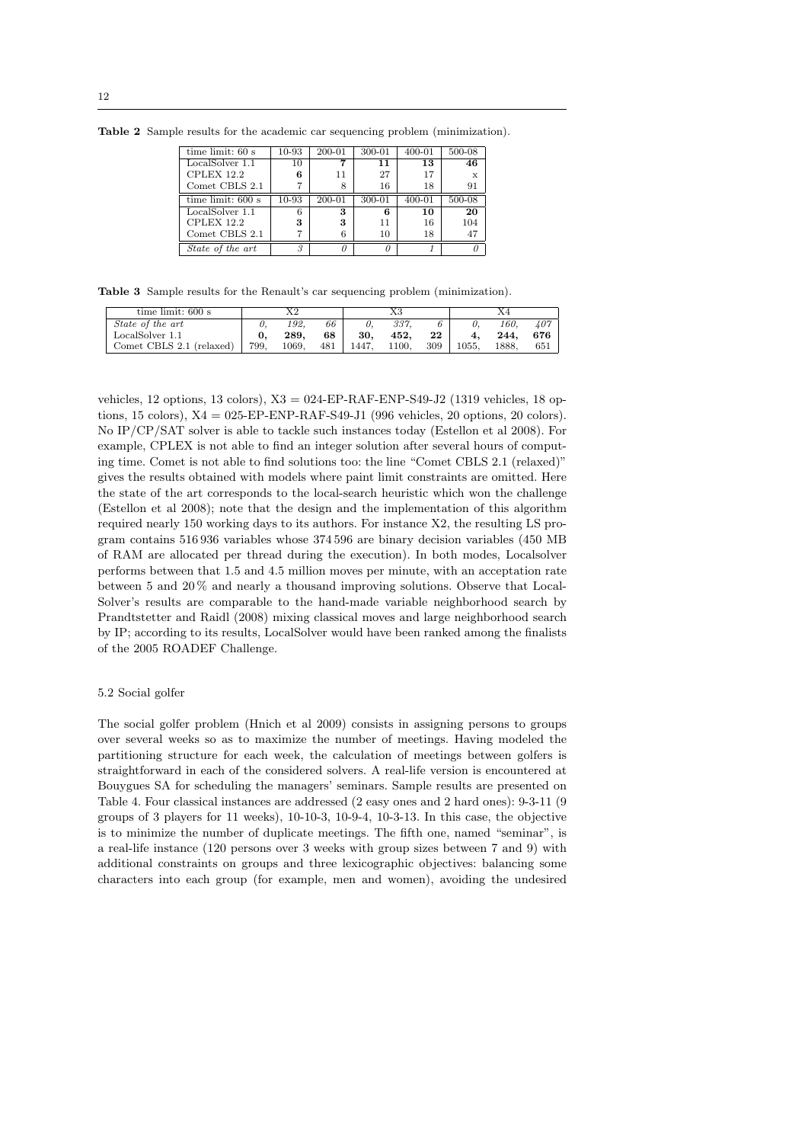| Table 2 Sample results for the academic car sequencing problem (minimization). |  |  |
|--------------------------------------------------------------------------------|--|--|
|--------------------------------------------------------------------------------|--|--|

| time limit: $60 s$  | 10-93                 | 200-01 | 300-01 | 400-01 | 500-08 |
|---------------------|-----------------------|--------|--------|--------|--------|
| LocalSolver 1.1     | 10                    |        | 11     | 13     | 46     |
| CPLEX 12.2          | 6                     | 11     | 27     | 17     | X      |
| Comet CBLS 2.1      |                       |        | 16     | 18     | 91     |
| time limit: $600 s$ | 10-93                 | 200-01 | 300-01 | 400-01 | 500-08 |
| LocalSolver 1.1     | 6                     | 3      | 6      | 10     | 20     |
| CPLEX 12.2          | 3                     | 3      | 11     | 16     | 104    |
| Comet CBLS 2.1      |                       | 6      | 10     | 18     | 47     |
| State of the art    | $\mathcal{S}_{1}^{2}$ |        |        |        |        |

**Table 3** Sample results for the Renault's car sequencing problem (minimization).

| time limit: $600 s$      |      | vη    |     |      | Λə    |     |       |      |     |
|--------------------------|------|-------|-----|------|-------|-----|-------|------|-----|
| State of the art         |      | 192.  | 66  |      | 337   |     |       | 160  | 407 |
| LocalSolver 1.1          | 0.   | 289.  | 68  | 30.  | 452.  | 22  |       | 244. | 676 |
| Comet CBLS 2.1 (relaxed) | 799, | 1069. | 481 | 1447 | 1100. | 309 | 1055. | 1888 | 651 |

vehicles, 12 options, 13 colors),  $X3 = 024$ -EP-RAF-ENP-S49-J2 (1319 vehicles, 18 options, 15 colors),  $X4 = 025$ -EP-ENP-RAF-S49-J1 (996 vehicles, 20 options, 20 colors). No IP/CP/SAT solver is able to tackle such instances today (Estellon et al 2008). For example, CPLEX is not able to find an integer solution after several hours of computing time. Comet is not able to find solutions too: the line "Comet CBLS 2.1 (relaxed)" gives the results obtained with models where paint limit constraints are omitted. Here the state of the art corresponds to the local-search heuristic which won the challenge (Estellon et al 2008); note that the design and the implementation of this algorithm required nearly 150 working days to its authors. For instance X2, the resulting LS program contains 516 936 variables whose 374 596 are binary decision variables (450 MB of RAM are allocated per thread during the execution). In both modes, Localsolver performs between that 1.5 and 4.5 million moves per minute, with an acceptation rate between 5 and 20 % and nearly a thousand improving solutions. Observe that Local-Solver's results are comparable to the hand-made variable neighborhood search by Prandtstetter and Raidl (2008) mixing classical moves and large neighborhood search by IP; according to its results, LocalSolver would have been ranked among the finalists of the 2005 ROADEF Challenge.

# 5.2 Social golfer

The social golfer problem (Hnich et al 2009) consists in assigning persons to groups over several weeks so as to maximize the number of meetings. Having modeled the partitioning structure for each week, the calculation of meetings between golfers is straightforward in each of the considered solvers. A real-life version is encountered at Bouygues SA for scheduling the managers' seminars. Sample results are presented on Table 4. Four classical instances are addressed (2 easy ones and 2 hard ones): 9-3-11 (9 groups of 3 players for 11 weeks), 10-10-3, 10-9-4, 10-3-13. In this case, the objective is to minimize the number of duplicate meetings. The fifth one, named "seminar", is a real-life instance (120 persons over 3 weeks with group sizes between 7 and 9) with additional constraints on groups and three lexicographic objectives: balancing some characters into each group (for example, men and women), avoiding the undesired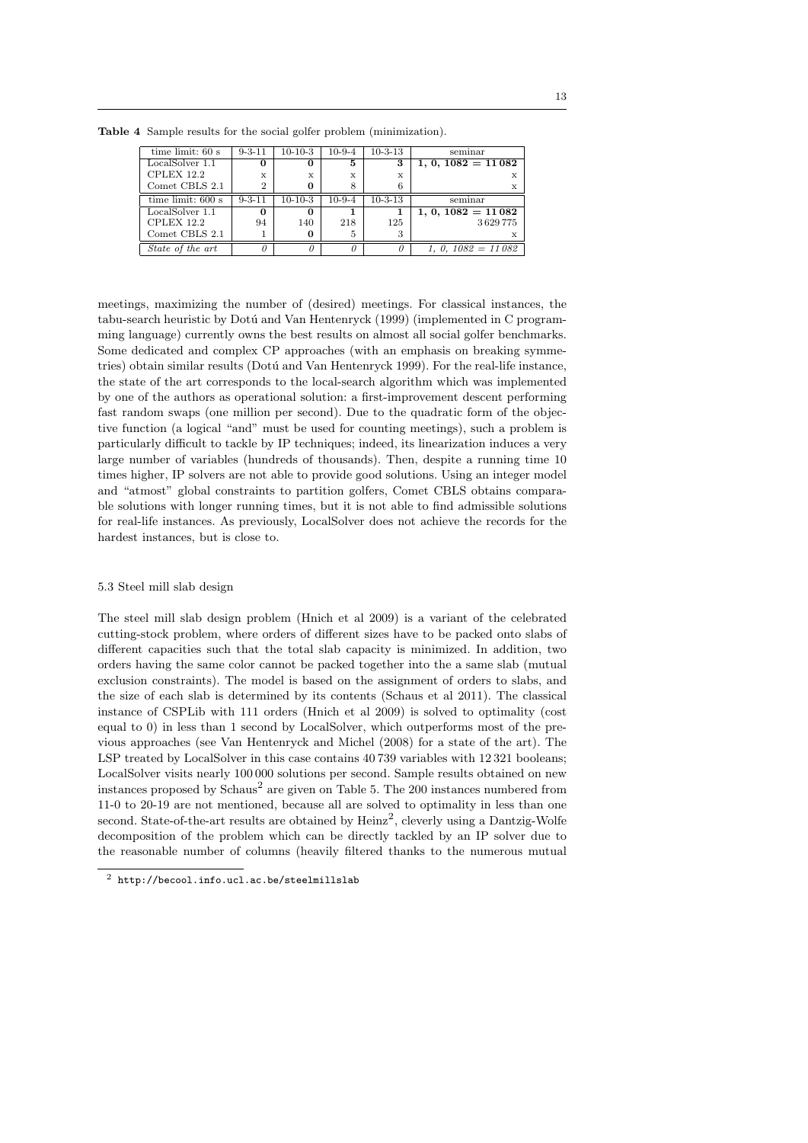| time limit: $60 s$  | $9 - 3 - 11$   | $10-10-3$    | $10-9-4$     | $10 - 3 - 13$ | seminar              |
|---------------------|----------------|--------------|--------------|---------------|----------------------|
| LocalSolver 1.1     | 0              | 0            | 5            | 3             | $1, 0, 1082 = 11082$ |
| CPLEX 12.2          | $\mathbf{x}$   | $\mathbf{x}$ | $\mathbf{x}$ | $\mathbf{x}$  |                      |
| Comet CBLS 2.1      | $\overline{2}$ |              | 8            | 6             | X                    |
| time limit: $600 s$ | $9 - 3 - 11$   | $10-10-3$    | $10-9-4$     | $10 - 3 - 13$ | seminar              |
| LocalSolver 1.1     | 0              |              |              |               | $1, 0, 1082 = 11082$ |
| CPLEX 12.2          | 94             | 140          | 218          | 125           | 3629775              |
| Comet CBLS 2.1      |                | 0            | 5            | 3             |                      |
| State of the art    |                |              | $\theta$     |               | 1, 0, $1082 = 11082$ |

**Table 4** Sample results for the social golfer problem (minimization).

meetings, maximizing the number of (desired) meetings. For classical instances, the tabu-search heuristic by Dotú and Van Hentenryck (1999) (implemented in C programming language) currently owns the best results on almost all social golfer benchmarks. Some dedicated and complex CP approaches (with an emphasis on breaking symmetries) obtain similar results (Dotú and Van Hentenryck 1999). For the real-life instance, the state of the art corresponds to the local-search algorithm which was implemented by one of the authors as operational solution: a first-improvement descent performing fast random swaps (one million per second). Due to the quadratic form of the objective function (a logical "and" must be used for counting meetings), such a problem is particularly difficult to tackle by IP techniques; indeed, its linearization induces a very large number of variables (hundreds of thousands). Then, despite a running time 10 times higher, IP solvers are not able to provide good solutions. Using an integer model and "atmost" global constraints to partition golfers, Comet CBLS obtains comparable solutions with longer running times, but it is not able to find admissible solutions for real-life instances. As previously, LocalSolver does not achieve the records for the hardest instances, but is close to.

#### 5.3 Steel mill slab design

The steel mill slab design problem (Hnich et al 2009) is a variant of the celebrated cutting-stock problem, where orders of different sizes have to be packed onto slabs of different capacities such that the total slab capacity is minimized. In addition, two orders having the same color cannot be packed together into the a same slab (mutual exclusion constraints). The model is based on the assignment of orders to slabs, and the size of each slab is determined by its contents (Schaus et al 2011). The classical instance of CSPLib with 111 orders (Hnich et al 2009) is solved to optimality (cost equal to 0) in less than 1 second by LocalSolver, which outperforms most of the previous approaches (see Van Hentenryck and Michel (2008) for a state of the art). The LSP treated by LocalSolver in this case contains 40 739 variables with 12 321 booleans; LocalSolver visits nearly 100 000 solutions per second. Sample results obtained on new instances proposed by  $Schaus^2$  are given on Table 5. The 200 instances numbered from 11-0 to 20-19 are not mentioned, because all are solved to optimality in less than one second. State-of-the-art results are obtained by  $\text{Heinz}^2$ , cleverly using a Dantzig-Wolfe decomposition of the problem which can be directly tackled by an IP solver due to the reasonable number of columns (heavily filtered thanks to the numerous mutual

 $^2$ http://becool.info.ucl.ac.be/steelmillslab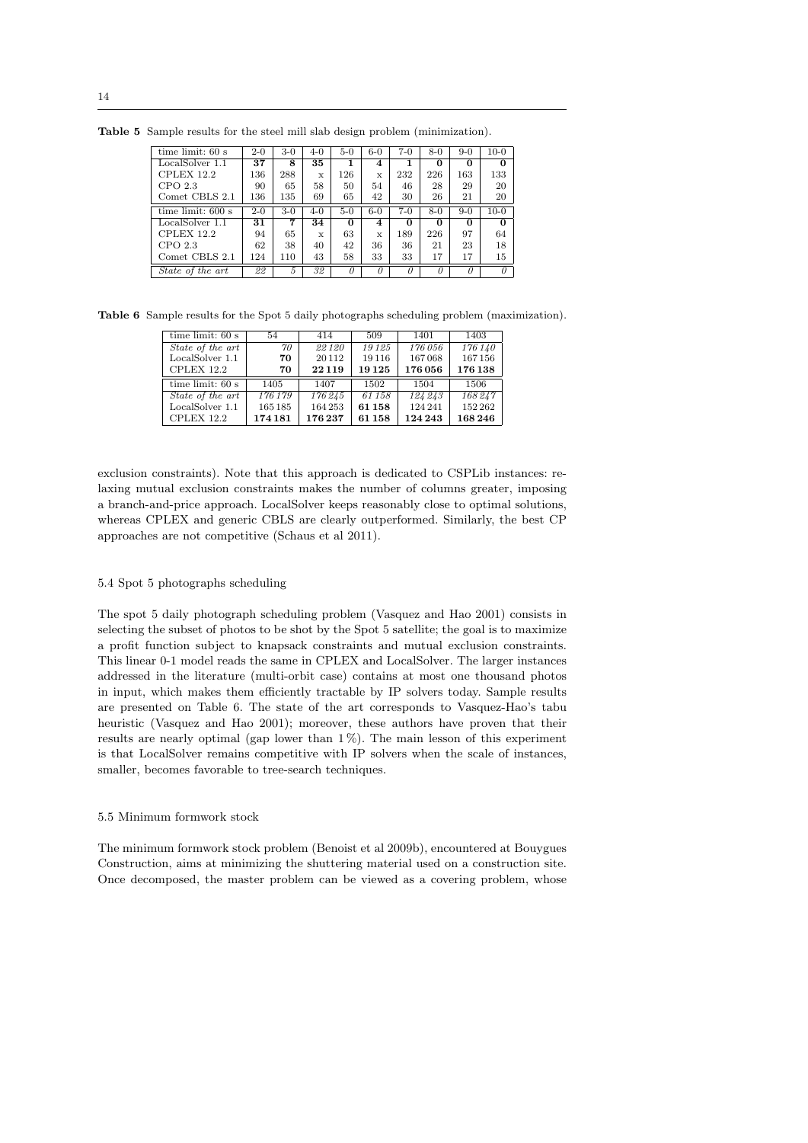| time limit: $60 s$  | $2 - 0$ | $3-0$ | $4 - 0$ | $5-0$ | $6-0$       | $7-0$ | $8-0$    | $9-0$    | $10-0$ |
|---------------------|---------|-------|---------|-------|-------------|-------|----------|----------|--------|
| LocalSolver 1.1     | 37      | 8     | 35      |       | 4           |       | $\Omega$ | $\Omega$ |        |
| CPLEX 12.2          | 136     | 288   | x       | 126   | $\mathbf x$ | 232   | 226      | 163      | 133    |
| CPO <sub>2.3</sub>  | 90      | 65    | 58      | 50    | 54          | 46    | 28       | 29       | 20     |
| Comet CBLS 2.1      | 136     | 135   | 69      | 65    | 42          | 30    | 26       | 21       | 20     |
| time limit: $600 s$ | $2 - 0$ | $3-0$ | $4-0$   | $5-0$ | $6-0$       | $7-0$ | $8-0$    | $9-0$    | $10-0$ |
| LocalSolver 1.1     | 31      | 7     | 34      | 0     | 4           | 0     | $\Omega$ | $\Omega$ | 0      |
|                     |         |       |         |       |             |       |          |          |        |
| CPLEX 12.2          | 94      | 65    | x       | 63    | $\mathbf x$ | 189   | 226      | 97       | 64     |
| CPO 2.3             | 62      | 38    | 40      | 42    | 36          | 36    | 21       | 23       | 18     |
| Comet CBLS 2.1      | 124     | 110   | 43      | 58    | 33          | 33    | 17       | 17       | 15     |

**Table 5** Sample results for the steel mill slab design problem (minimization).

**Table 6** Sample results for the Spot 5 daily photographs scheduling problem (maximization).

| time limit: $60 s$ | 54      | 414     | 509   | 1401    | 1403    |
|--------------------|---------|---------|-------|---------|---------|
| State of the art   | 70      | 22 1 20 | 19125 | 176056  | 176140  |
| LocalSolver 1.1    | 70      | 20112   | 19116 | 167068  | 167156  |
| CPLEX 12.2         | 70      | 22119   | 19125 | 176056  | 176 138 |
| time limit: $60 s$ | 1405    | 1407    | 1502  | 1504    | 1506    |
| State of the art   | 176 179 | 176 245 | 61158 | 124243  | 168247  |
| LocalSolver 1.1    | 165185  | 164253  | 61158 | 124241  | 152 262 |
| <b>CPLEX 12.2</b>  | 174 181 | 176237  | 61158 | 124 243 | 168246  |

exclusion constraints). Note that this approach is dedicated to CSPLib instances: relaxing mutual exclusion constraints makes the number of columns greater, imposing a branch-and-price approach. LocalSolver keeps reasonably close to optimal solutions, whereas CPLEX and generic CBLS are clearly outperformed. Similarly, the best CP approaches are not competitive (Schaus et al 2011).

#### 5.4 Spot 5 photographs scheduling

The spot 5 daily photograph scheduling problem (Vasquez and Hao 2001) consists in selecting the subset of photos to be shot by the Spot 5 satellite; the goal is to maximize a profit function subject to knapsack constraints and mutual exclusion constraints. This linear 0-1 model reads the same in CPLEX and LocalSolver. The larger instances addressed in the literature (multi-orbit case) contains at most one thousand photos in input, which makes them efficiently tractable by IP solvers today. Sample results are presented on Table 6. The state of the art corresponds to Vasquez-Hao's tabu heuristic (Vasquez and Hao 2001); moreover, these authors have proven that their results are nearly optimal (gap lower than  $1\%$ ). The main lesson of this experiment is that LocalSolver remains competitive with IP solvers when the scale of instances, smaller, becomes favorable to tree-search techniques.

#### 5.5 Minimum formwork stock

The minimum formwork stock problem (Benoist et al 2009b), encountered at Bouygues Construction, aims at minimizing the shuttering material used on a construction site. Once decomposed, the master problem can be viewed as a covering problem, whose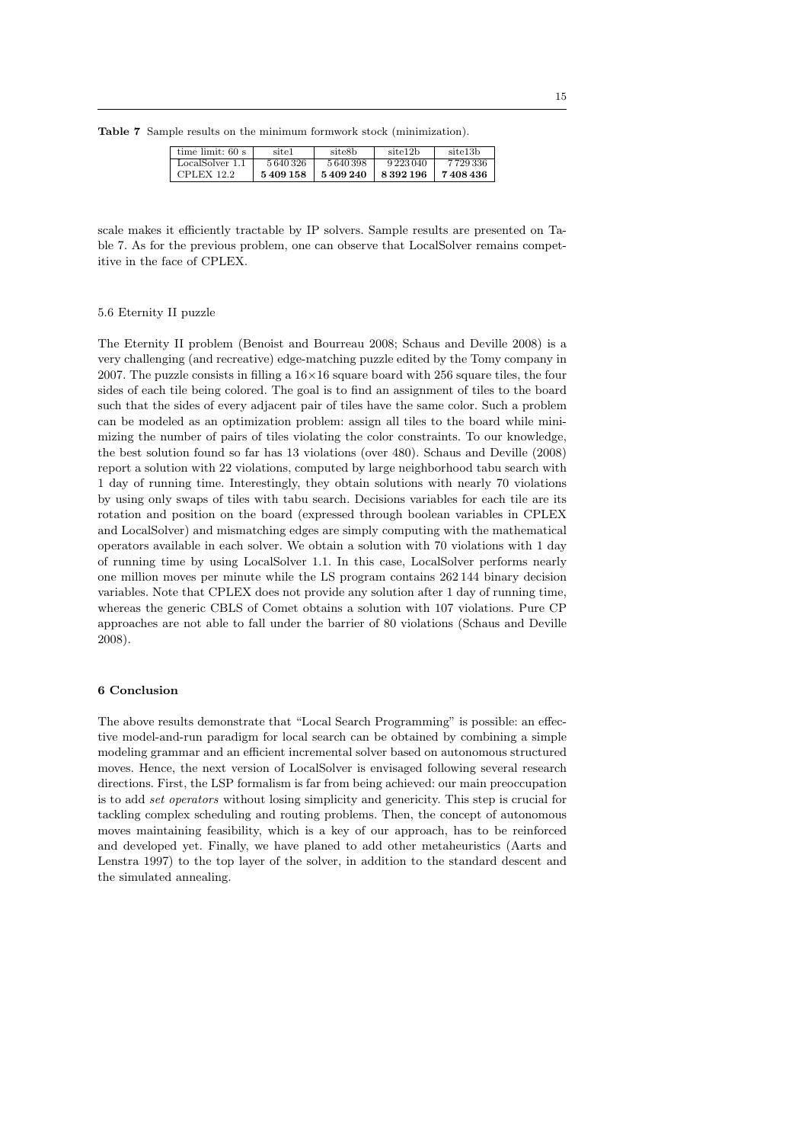**Table 7** Sample results on the minimum formwork stock (minimization).

| time limit: $60 s$ | site1   | site8b  | site12b       | site13b     |
|--------------------|---------|---------|---------------|-------------|
| LocalSolver 1.1    | 5640326 | 5640398 | 9 2 2 3 0 4 0 | 7 7 29 3 36 |
| CPLEX 12.2         | 5409158 | 5409240 | 8392196       | 7408436     |

scale makes it efficiently tractable by IP solvers. Sample results are presented on Table 7. As for the previous problem, one can observe that LocalSolver remains competitive in the face of CPLEX.

#### 5.6 Eternity II puzzle

The Eternity II problem (Benoist and Bourreau 2008; Schaus and Deville 2008) is a very challenging (and recreative) edge-matching puzzle edited by the Tomy company in 2007. The puzzle consists in filling a 16*×*16 square board with 256 square tiles, the four sides of each tile being colored. The goal is to find an assignment of tiles to the board such that the sides of every adjacent pair of tiles have the same color. Such a problem can be modeled as an optimization problem: assign all tiles to the board while minimizing the number of pairs of tiles violating the color constraints. To our knowledge, the best solution found so far has 13 violations (over 480). Schaus and Deville (2008) report a solution with 22 violations, computed by large neighborhood tabu search with 1 day of running time. Interestingly, they obtain solutions with nearly 70 violations by using only swaps of tiles with tabu search. Decisions variables for each tile are its rotation and position on the board (expressed through boolean variables in CPLEX and LocalSolver) and mismatching edges are simply computing with the mathematical operators available in each solver. We obtain a solution with 70 violations with 1 day of running time by using LocalSolver 1.1. In this case, LocalSolver performs nearly one million moves per minute while the LS program contains 262 144 binary decision variables. Note that CPLEX does not provide any solution after 1 day of running time, whereas the generic CBLS of Comet obtains a solution with 107 violations. Pure CP approaches are not able to fall under the barrier of 80 violations (Schaus and Deville 2008).

### **6 Conclusion**

The above results demonstrate that "Local Search Programming" is possible: an effective model-and-run paradigm for local search can be obtained by combining a simple modeling grammar and an efficient incremental solver based on autonomous structured moves. Hence, the next version of LocalSolver is envisaged following several research directions. First, the LSP formalism is far from being achieved: our main preoccupation is to add *set operators* without losing simplicity and genericity. This step is crucial for tackling complex scheduling and routing problems. Then, the concept of autonomous moves maintaining feasibility, which is a key of our approach, has to be reinforced and developed yet. Finally, we have planed to add other metaheuristics (Aarts and Lenstra 1997) to the top layer of the solver, in addition to the standard descent and the simulated annealing.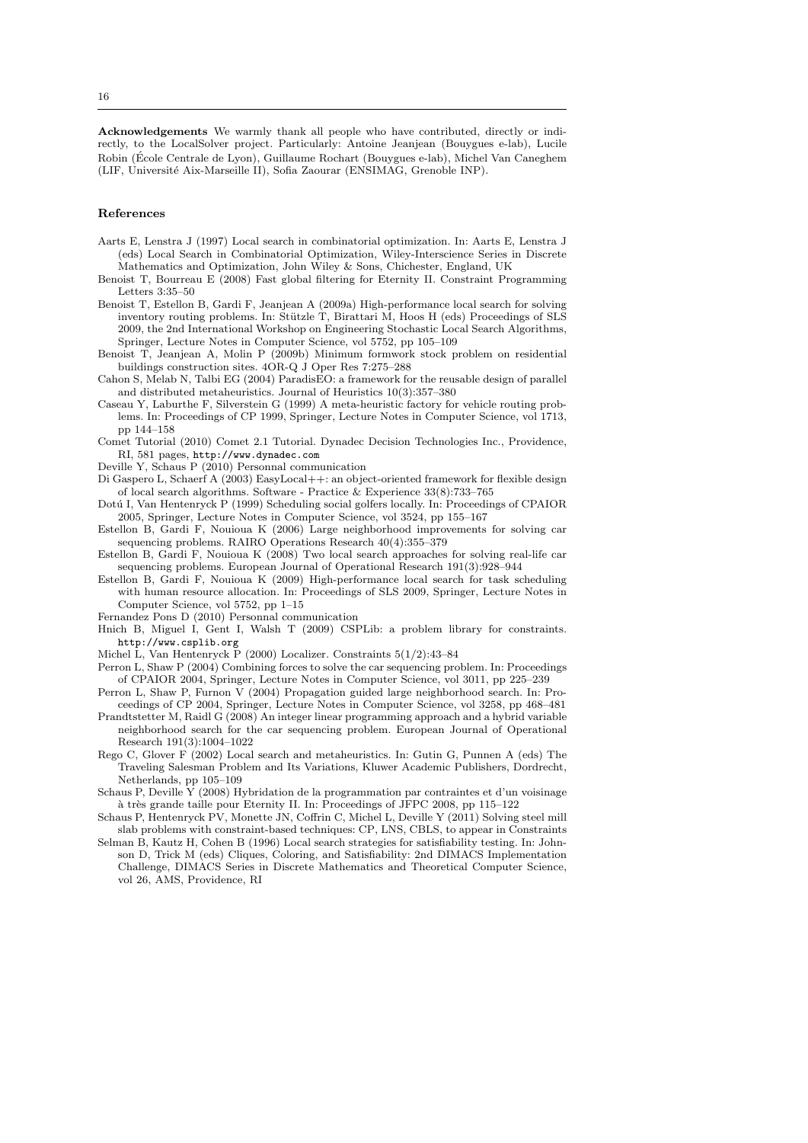**Acknowledgements** We warmly thank all people who have contributed, directly or indirectly, to the LocalSolver project. Particularly: Antoine Jeanjean (Bouygues e-lab), Lucile Robin (Ecole Centrale de Lyon), Guillaume Rochart (Bouygues e-lab), Michel Van Caneghem ´ (LIF, Université Aix-Marseille II), Sofia Zaourar (ENSIMAG, Grenoble INP).

#### **References**

- Aarts E, Lenstra J (1997) Local search in combinatorial optimization. In: Aarts E, Lenstra J (eds) Local Search in Combinatorial Optimization, Wiley-Interscience Series in Discrete Mathematics and Optimization, John Wiley & Sons, Chichester, England, UK
- Benoist T, Bourreau E (2008) Fast global filtering for Eternity II. Constraint Programming Letters 3:35–50
- Benoist T, Estellon B, Gardi F, Jeanjean A (2009a) High-performance local search for solving inventory routing problems. In: Stützle T, Birattari M, Hoos H (eds) Proceedings of SLS 2009, the 2nd International Workshop on Engineering Stochastic Local Search Algorithms, Springer, Lecture Notes in Computer Science, vol 5752, pp 105–109
- Benoist T, Jeanjean A, Molin P (2009b) Minimum formwork stock problem on residential buildings construction sites. 4OR-Q J Oper Res 7:275–288
- Cahon S, Melab N, Talbi EG (2004) ParadisEO: a framework for the reusable design of parallel and distributed metaheuristics. Journal of Heuristics 10(3):357–380
- Caseau Y, Laburthe F, Silverstein G (1999) A meta-heuristic factory for vehicle routing problems. In: Proceedings of CP 1999, Springer, Lecture Notes in Computer Science, vol 1713, pp 144–158
- Comet Tutorial (2010) Comet 2.1 Tutorial. Dynadec Decision Technologies Inc., Providence, RI, 581 pages, http://www.dynadec.com
- Deville Y, Schaus P (2010) Personnal communication
- Di Gaspero L, Schaerf A (2003) EasyLocal++: an object-oriented framework for flexible design of local search algorithms. Software - Practice & Experience 33(8):733–765
- Dotú I, Van Hentenryck P (1999) Scheduling social golfers locally. In: Proceedings of CPAIOR 2005, Springer, Lecture Notes in Computer Science, vol 3524, pp 155–167
- Estellon B, Gardi F, Nouioua K (2006) Large neighborhood improvements for solving car sequencing problems. RAIRO Operations Research 40(4):355–379
- Estellon B, Gardi F, Nouioua K (2008) Two local search approaches for solving real-life car sequencing problems. European Journal of Operational Research 191(3):928–944
- Estellon B, Gardi F, Nouioua K (2009) High-performance local search for task scheduling with human resource allocation. In: Proceedings of SLS 2009, Springer, Lecture Notes in Computer Science, vol 5752, pp 1–15

Fernandez Pons D (2010) Personnal communication

- Hnich B, Miguel I, Gent I, Walsh T (2009) CSPLib: a problem library for constraints. http://www.csplib.org
- Michel L, Van Hentenryck P (2000) Localizer. Constraints 5(1/2):43–84
- Perron L, Shaw P (2004) Combining forces to solve the car sequencing problem. In: Proceedings of CPAIOR 2004, Springer, Lecture Notes in Computer Science, vol 3011, pp 225–239
- Perron L, Shaw P, Furnon V (2004) Propagation guided large neighborhood search. In: Proceedings of CP 2004, Springer, Lecture Notes in Computer Science, vol 3258, pp 468–481
- Prandtstetter M, Raidl G (2008) An integer linear programming approach and a hybrid variable neighborhood search for the car sequencing problem. European Journal of Operational Research 191(3):1004–1022
- Rego C, Glover F (2002) Local search and metaheuristics. In: Gutin G, Punnen A (eds) The Traveling Salesman Problem and Its Variations, Kluwer Academic Publishers, Dordrecht, Netherlands, pp 105–109
- Schaus P, Deville Y (2008) Hybridation de la programmation par contraintes et d'un voisinage à très grande taille pour Eternity II. In: Proceedings of JFPC 2008, pp 115–122
- Schaus P, Hentenryck PV, Monette JN, Coffrin C, Michel L, Deville Y (2011) Solving steel mill slab problems with constraint-based techniques: CP, LNS, CBLS, to appear in Constraints
- Selman B, Kautz H, Cohen B (1996) Local search strategies for satisfiability testing. In: Johnson D, Trick M (eds) Cliques, Coloring, and Satisfiability: 2nd DIMACS Implementation Challenge, DIMACS Series in Discrete Mathematics and Theoretical Computer Science, vol 26, AMS, Providence, RI